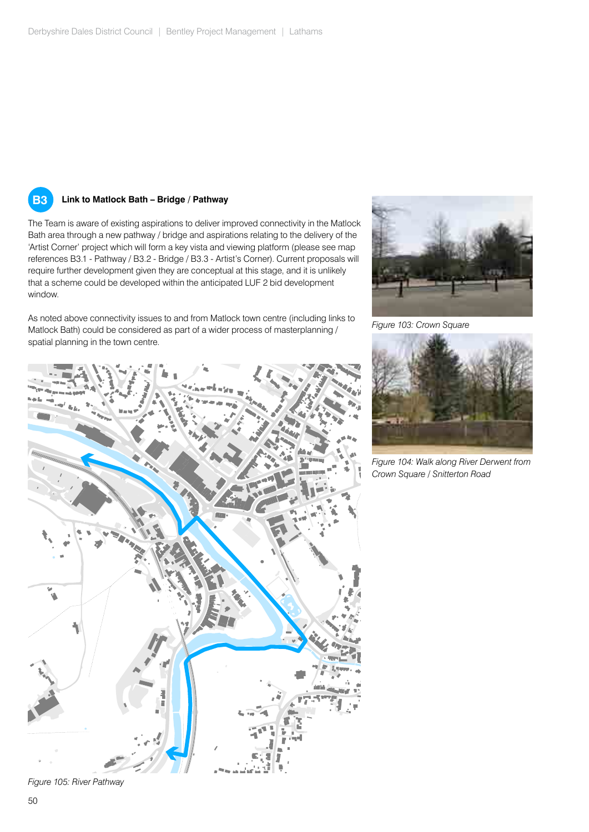

#### **B3 Link to Matlock Bath – Bridge / Pathway**

The Team is aware of existing aspirations to deliver improved connectivity in the Matlock Bath area through a new pathway / bridge and aspirations relating to the delivery of the 'Artist Corner' project which will form a key vista and viewing platform (please see map references B3.1 - Pathway / B3.2 - Bridge / B3.3 - Artist's Corner). Current proposals will require further development given they are conceptual at this stage, and it is unlikely that a scheme could be developed within the anticipated LUF 2 bid development window.

As noted above connectivity issues to and from Matlock town centre (including links to Matlock Bath) could be considered as part of a wider process of masterplanning / spatial planning in the town centre.



*Figure 103: Crown Square*



*Figure 104: Walk along River Derwent from Crown Square / Snitterton Road* 

*Figure 105: River Pathway*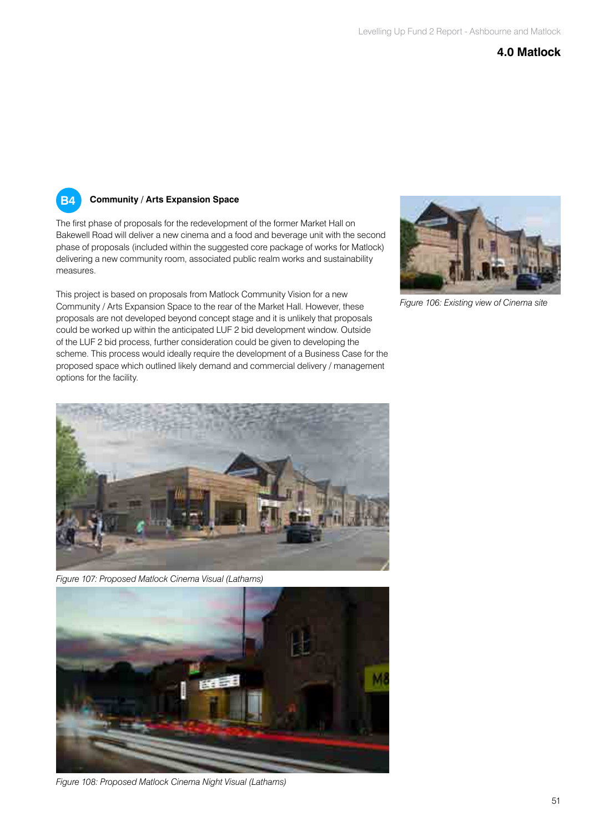#### **4.0 Matlock**

# **B4**

#### **Community / Arts Expansion Space**

The first phase of proposals for the redevelopment of the former Market Hall on Bakewell Road will deliver a new cinema and a food and beverage unit with the second phase of proposals (included within the suggested core package of works for Matlock) delivering a new community room, associated public realm works and sustainability measures.

This project is based on proposals from Matlock Community Vision for a new Community / Arts Expansion Space to the rear of the Market Hall. However, these proposals are not developed beyond concept stage and it is unlikely that proposals could be worked up within the anticipated LUF 2 bid development window. Outside of the LUF 2 bid process, further consideration could be given to developing the scheme. This process would ideally require the development of a Business Case for the proposed space which outlined likely demand and commercial delivery / management options for the facility.



*Figure 106: Existing view of Cinema site*

![](_page_1_Picture_8.jpeg)

*Figure 107: Proposed Matlock Cinema Visual (Lathams)* 

![](_page_1_Picture_10.jpeg)

*Figure 108: Proposed Matlock Cinema Night Visual (Lathams)*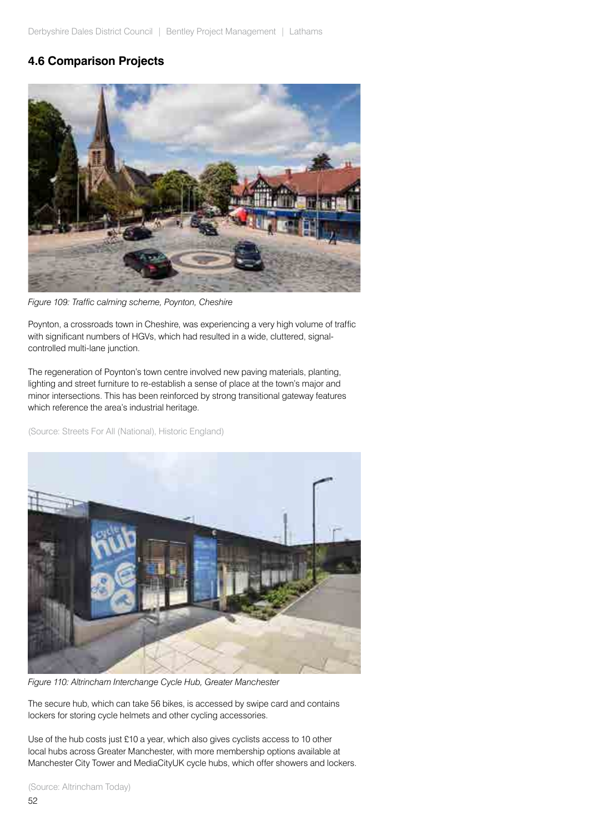# **4.6 Comparison Projects**

![](_page_2_Picture_2.jpeg)

*Figure 109: Traffic calming scheme, Poynton, Cheshire*

with significant numbers of HGVs, which had resulted in a wide, cluttered, signalcontrolled multi-lane junction. Poynton, a crossroads town in Cheshire, was experiencing a very high volume of traffic

The regeneration of Poynton's town centre involved new paving materials, planting, lighting and street furniture to re-establish a sense of place at the town's major and minor intersections. This has been reinforced by strong transitional gateway features which reference the area's industrial heritage.

(Source: Streets For All (National), Historic England)

![](_page_2_Picture_7.jpeg)

*Figure 110: Altrincham Interchange Cycle Hub, Greater Manchester*

The secure hub, which can take 56 bikes, is accessed by swipe card and contains lockers for storing cycle helmets and other cycling accessories.

Use of the hub costs just £10 a year, which also gives cyclists access to 10 other local hubs across Greater Manchester, with more membership options available at Manchester City Tower and MediaCityUK cycle hubs, which offer showers and lockers.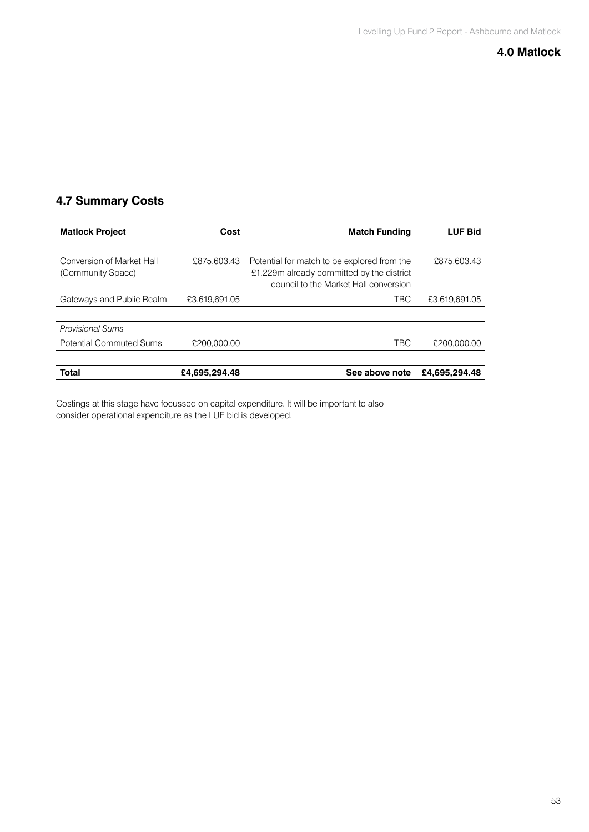### **4.0 Matlock**

# **4.7 Summary Costs**

| <b>Matlock Project</b>                         | Cost          | <b>Match Funding</b>                                                                                                              | <b>LUF Bid</b> |
|------------------------------------------------|---------------|-----------------------------------------------------------------------------------------------------------------------------------|----------------|
|                                                |               |                                                                                                                                   |                |
| Conversion of Market Hall<br>(Community Space) | £875,603.43   | Potential for match to be explored from the<br>£1.229m already committed by the district<br>council to the Market Hall conversion | £875,603.43    |
| Gateways and Public Realm                      | £3.619.691.05 | TBC                                                                                                                               | £3,619,691.05  |
|                                                |               |                                                                                                                                   |                |
| <b>Provisional Sums</b>                        |               |                                                                                                                                   |                |
| <b>Potential Commuted Sums</b>                 | £200,000,00   | TBC                                                                                                                               | £200,000.00    |
|                                                |               |                                                                                                                                   |                |
| <b>Total</b>                                   | £4.695.294.48 | See above note                                                                                                                    | £4.695.294.48  |

Costings at this stage have focussed on capital expenditure. It will be important to also consider operational expenditure as the LUF bid is developed.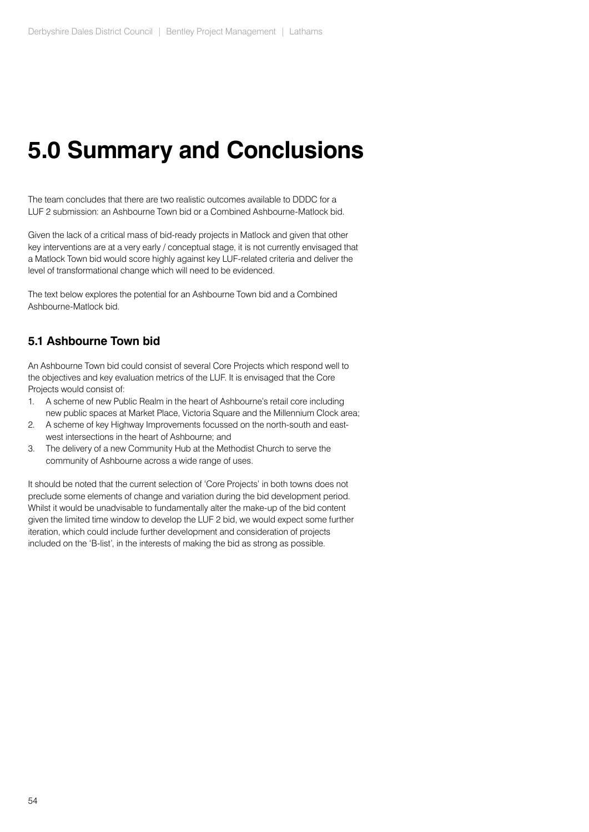The team concludes that there are two realistic outcomes available to DDDC for a LUF 2 submission: an Ashbourne Town bid or a Combined Ashbourne-Matlock bid.

Given the lack of a critical mass of bid-ready projects in Matlock and given that other key interventions are at a very early / conceptual stage, it is not currently envisaged that a Matlock Town bid would score highly against key LUF-related criteria and deliver the level of transformational change which will need to be evidenced.

The text below explores the potential for an Ashbourne Town bid and a Combined Ashbourne-Matlock bid.

## **5.1 Ashbourne Town bid**

An Ashbourne Town bid could consist of several Core Projects which respond well to the objectives and key evaluation metrics of the LUF. It is envisaged that the Core Projects would consist of:

- 1. A scheme of new Public Realm in the heart of Ashbourne's retail core including new public spaces at Market Place, Victoria Square and the Millennium Clock area;
- 2. A scheme of key Highway Improvements focussed on the north-south and eastwest intersections in the heart of Ashbourne; and
- 3. The delivery of a new Community Hub at the Methodist Church to serve the community of Ashbourne across a wide range of uses.

It should be noted that the current selection of 'Core Projects' in both towns does not preclude some elements of change and variation during the bid development period. Whilst it would be unadvisable to fundamentally alter the make-up of the bid content given the limited time window to develop the LUF 2 bid, we would expect some further iteration, which could include further development and consideration of projects included on the 'B-list', in the interests of making the bid as strong as possible.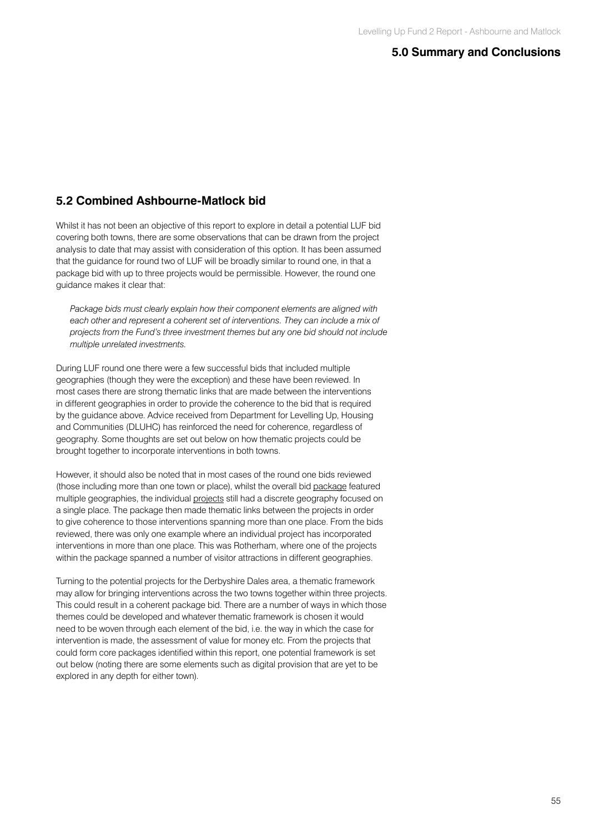### **5.2 Combined Ashbourne-Matlock bid**

Whilst it has not been an objective of this report to explore in detail a potential LUF bid covering both towns, there are some observations that can be drawn from the project analysis to date that may assist with consideration of this option. It has been assumed that the guidance for round two of LUF will be broadly similar to round one, in that a package bid with up to three projects would be permissible. However, the round one guidance makes it clear that:

*Package bids must clearly explain how their component elements are aligned with each other and represent a coherent set of interventions. They can include a mix of projects from the Fund's three investment themes but any one bid should not include multiple unrelated investments.*

During LUF round one there were a few successful bids that included multiple geographies (though they were the exception) and these have been reviewed. In most cases there are strong thematic links that are made between the interventions in different geographies in order to provide the coherence to the bid that is required by the guidance above. Advice received from Department for Levelling Up, Housing and Communities (DLUHC) has reinforced the need for coherence, regardless of geography. Some thoughts are set out below on how thematic projects could be brought together to incorporate interventions in both towns.

However, it should also be noted that in most cases of the round one bids reviewed (those including more than one town or place), whilst the overall bid package featured multiple geographies, the individual projects still had a discrete geography focused on a single place. The package then made thematic links between the projects in order to give coherence to those interventions spanning more than one place. From the bids reviewed, there was only one example where an individual project has incorporated interventions in more than one place. This was Rotherham, where one of the projects within the package spanned a number of visitor attractions in different geographies.

Turning to the potential projects for the Derbyshire Dales area, a thematic framework may allow for bringing interventions across the two towns together within three projects. This could result in a coherent package bid. There are a number of ways in which those themes could be developed and whatever thematic framework is chosen it would need to be woven through each element of the bid, i.e. the way in which the case for intervention is made, the assessment of value for money etc. From the projects that could form core packages identified within this report, one potential framework is set out below (noting there are some elements such as digital provision that are yet to be explored in any depth for either town).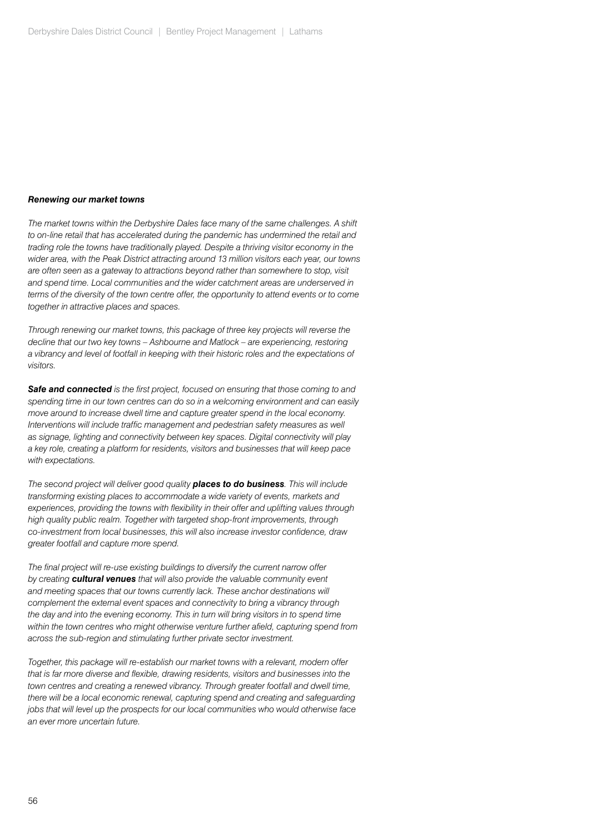#### *Renewing our market towns*

*The market towns within the Derbyshire Dales face many of the same challenges. A shift to on-line retail that has accelerated during the pandemic has undermined the retail and trading role the towns have traditionally played. Despite a thriving visitor economy in the wider area, with the Peak District attracting around 13 million visitors each year, our towns are often seen as a gateway to attractions beyond rather than somewhere to stop, visit and spend time. Local communities and the wider catchment areas are underserved in terms of the diversity of the town centre offer, the opportunity to attend events or to come together in attractive places and spaces.*

*Through renewing our market towns, this package of three key projects will reverse the decline that our two key towns – Ashbourne and Matlock – are experiencing, restoring a vibrancy and level of footfall in keeping with their historic roles and the expectations of visitors.*

*Safe and connected is the first project, focused on ensuring that those coming to and spending time in our town centres can do so in a welcoming environment and can easily move around to increase dwell time and capture greater spend in the local economy. Interventions will include traffic management and pedestrian safety measures as well as signage, lighting and connectivity between key spaces. Digital connectivity will play a key role, creating a platform for residents, visitors and businesses that will keep pace with expectations.*

*The second project will deliver good quality places to do business. This will include transforming existing places to accommodate a wide variety of events, markets and experiences, providing the towns with flexibility in their offer and uplifting values through high quality public realm. Together with targeted shop-front improvements, through co-investment from local businesses, this will also increase investor confidence, draw greater footfall and capture more spend.*

*The final project will re-use existing buildings to diversify the current narrow offer by creating cultural venues that will also provide the valuable community event*  and meeting spaces that our towns currently lack. These anchor destinations will *complement the external event spaces and connectivity to bring a vibrancy through the day and into the evening economy. This in turn will bring visitors in to spend time within the town centres who might otherwise venture further afield, capturing spend from across the sub-region and stimulating further private sector investment.*

*Together, this package will re-establish our market towns with a relevant, modern offer that is far more diverse and flexible, drawing residents, visitors and businesses into the town centres and creating a renewed vibrancy. Through greater footfall and dwell time, there will be a local economic renewal, capturing spend and creating and safeguarding jobs that will level up the prospects for our local communities who would otherwise face an ever more uncertain future.*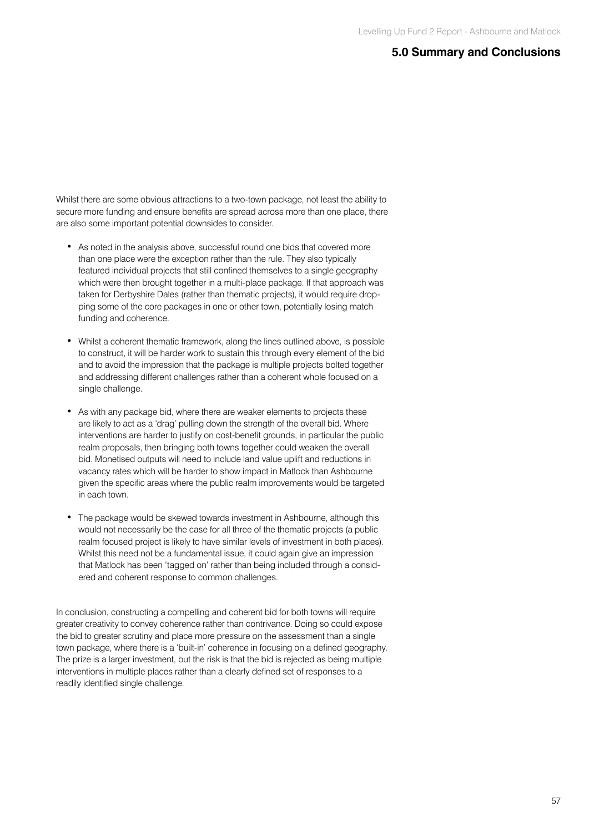Whilst there are some obvious attractions to a two-town package, not least the ability to secure more funding and ensure benefits are spread across more than one place, there are also some important potential downsides to consider.

- As noted in the analysis above, successful round one bids that covered more than one place were the exception rather than the rule. They also typically featured individual projects that still confined themselves to a single geography which were then brought together in a multi-place package. If that approach was taken for Derbyshire Dales (rather than thematic projects), it would require dropping some of the core packages in one or other town, potentially losing match funding and coherence.
- Whilst a coherent thematic framework, along the lines outlined above, is possible to construct, it will be harder work to sustain this through every element of the bid and to avoid the impression that the package is multiple projects bolted together and addressing different challenges rather than a coherent whole focused on a single challenge.
- As with any package bid, where there are weaker elements to projects these are likely to act as a 'drag' pulling down the strength of the overall bid. Where interventions are harder to justify on cost-benefit grounds, in particular the public realm proposals, then bringing both towns together could weaken the overall bid. Monetised outputs will need to include land value uplift and reductions in vacancy rates which will be harder to show impact in Matlock than Ashbourne given the specific areas where the public realm improvements would be targeted in each town.
- The package would be skewed towards investment in Ashbourne, although this would not necessarily be the case for all three of the thematic projects (a public realm focused project is likely to have similar levels of investment in both places). Whilst this need not be a fundamental issue, it could again give an impression that Matlock has been 'tagged on' rather than being included through a considered and coherent response to common challenges.

In conclusion, constructing a compelling and coherent bid for both towns will require greater creativity to convey coherence rather than contrivance. Doing so could expose the bid to greater scrutiny and place more pressure on the assessment than a single town package, where there is a 'built-in' coherence in focusing on a defined geography. The prize is a larger investment, but the risk is that the bid is rejected as being multiple interventions in multiple places rather than a clearly defined set of responses to a readily identified single challenge.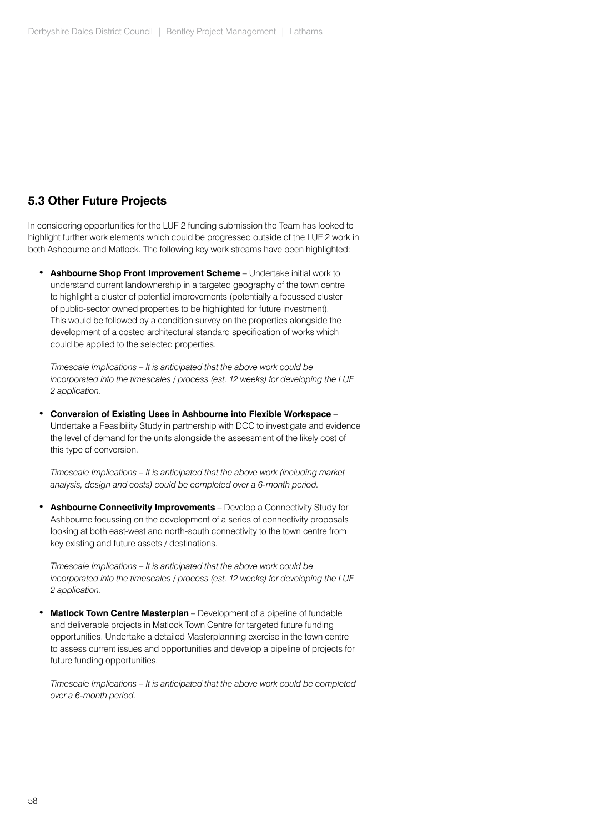## **5.3 Other Future Projects**

In considering opportunities for the LUF 2 funding submission the Team has looked to highlight further work elements which could be progressed outside of the LUF 2 work in both Ashbourne and Matlock. The following key work streams have been highlighted:

• **Ashbourne Shop Front Improvement Scheme** – Undertake initial work to understand current landownership in a targeted geography of the town centre to highlight a cluster of potential improvements (potentially a focussed cluster of public-sector owned properties to be highlighted for future investment). This would be followed by a condition survey on the properties alongside the development of a costed architectural standard specification of works which could be applied to the selected properties.

*Timescale Implications – It is anticipated that the above work could be incorporated into the timescales / process (est. 12 weeks) for developing the LUF 2 application.*

• **Conversion of Existing Uses in Ashbourne into Flexible Workspace** – Undertake a Feasibility Study in partnership with DCC to investigate and evidence the level of demand for the units alongside the assessment of the likely cost of this type of conversion.

*Timescale Implications – It is anticipated that the above work (including market analysis, design and costs) could be completed over a 6-month period.*

• **Ashbourne Connectivity Improvements** – Develop a Connectivity Study for Ashbourne focussing on the development of a series of connectivity proposals looking at both east-west and north-south connectivity to the town centre from key existing and future assets / destinations.

*Timescale Implications – It is anticipated that the above work could be incorporated into the timescales / process (est. 12 weeks) for developing the LUF 2 application.*

• **Matlock Town Centre Masterplan** – Development of a pipeline of fundable and deliverable projects in Matlock Town Centre for targeted future funding opportunities. Undertake a detailed Masterplanning exercise in the town centre to assess current issues and opportunities and develop a pipeline of projects for future funding opportunities.

*Timescale Implications – It is anticipated that the above work could be completed over a 6-month period.*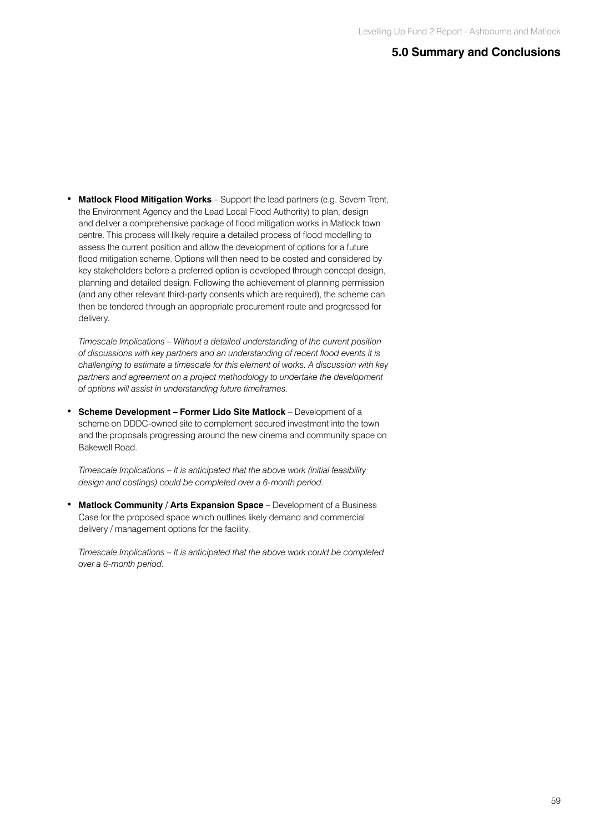• **Matlock Flood Mitigation Works** – Support the lead partners (e.g. Severn Trent, the Environment Agency and the Lead Local Flood Authority) to plan, design and deliver a comprehensive package of flood mitigation works in Matlock town centre. This process will likely require a detailed process of flood modelling to assess the current position and allow the development of options for a future flood mitigation scheme. Options will then need to be costed and considered by key stakeholders before a preferred option is developed through concept design, planning and detailed design. Following the achievement of planning permission (and any other relevant third-party consents which are required), the scheme can then be tendered through an appropriate procurement route and progressed for delivery.

*Timescale Implications – Without a detailed understanding of the current position of discussions with key partners and an understanding of recent flood events it is challenging to estimate a timescale for this element of works. A discussion with key partners and agreement on a project methodology to undertake the development of options will assist in understanding future timeframes.*

• **Scheme Development – Former Lido Site Matlock** – Development of a scheme on DDDC-owned site to complement secured investment into the town and the proposals progressing around the new cinema and community space on Bakewell Road.

*Timescale Implications – It is anticipated that the above work (initial feasibility design and costings) could be completed over a 6-month period.*

• **Matlock Community / Arts Expansion Space** – Development of a Business Case for the proposed space which outlines likely demand and commercial delivery / management options for the facility.

*Timescale Implications – It is anticipated that the above work could be completed over a 6-month period.*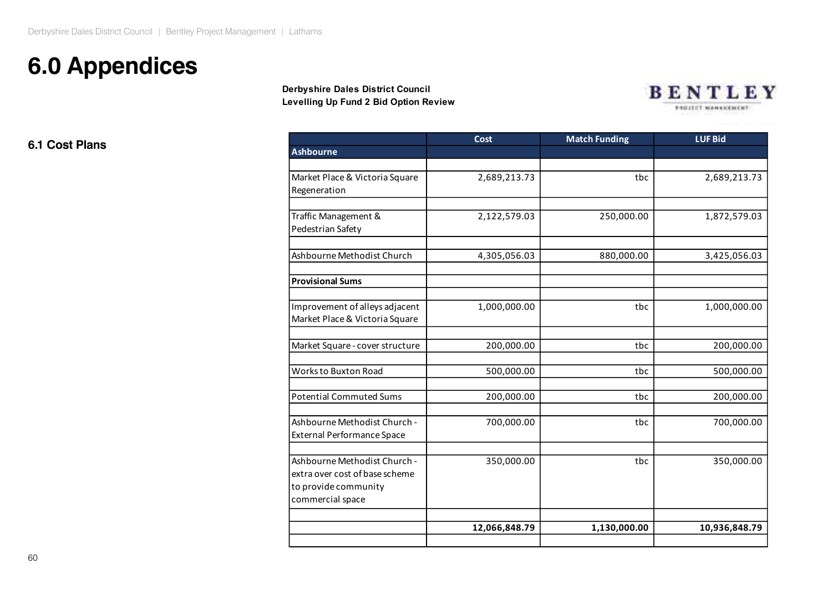# **6.0 Appendices**

#### **Derbyshire Dales District Council Levelling Up Fund 2 Bid Option Review Derbyshire Dales District Council Levelling Up Fund 2 Bid Option Review Levelling Up Fund 2 Bid Option Review**

![](_page_10_Picture_3.jpeg)

**6.1 Cost Plans**

|                                                                                                            | <b>Cost</b>   | <b>Match Funding</b> | <b>LUFBid</b> |
|------------------------------------------------------------------------------------------------------------|---------------|----------------------|---------------|
| <b>Ashbourne</b>                                                                                           |               |                      |               |
| Market Place & Victoria Square<br>Regeneration                                                             | 2,689,213.73  | tbc                  | 2,689,213.73  |
| Traffic Management &<br>Pedestrian Safety                                                                  | 2,122,579.03  | 250,000.00           | 1,872,579.03  |
| Ashbourne Methodist Church                                                                                 | 4,305,056.03  | 880,000.00           | 3,425,056.03  |
| <b>Provisional Sums</b>                                                                                    |               |                      |               |
| Improvement of alleys adjacent<br>Market Place & Victoria Square                                           | 1,000,000.00  | tbc                  | 1,000,000.00  |
| Market Square - cover structure                                                                            | 200,000.00    | tbc                  | 200,000.00    |
| Works to Buxton Road                                                                                       | 500,000.00    | tbc                  | 500,000.00    |
| <b>Potential Commuted Sums</b>                                                                             | 200,000.00    | tbc                  | 200,000.00    |
| Ashbourne Methodist Church -<br><b>External Performance Space</b>                                          | 700,000.00    | tbc                  | 700,000.00    |
| Ashbourne Methodist Church -<br>extra over cost of base scheme<br>to provide community<br>commercial space | 350,000.00    | tbc                  | 350,000.00    |
|                                                                                                            | 12,066,848.79 | 1,130,000.00         | 10,936,848.79 |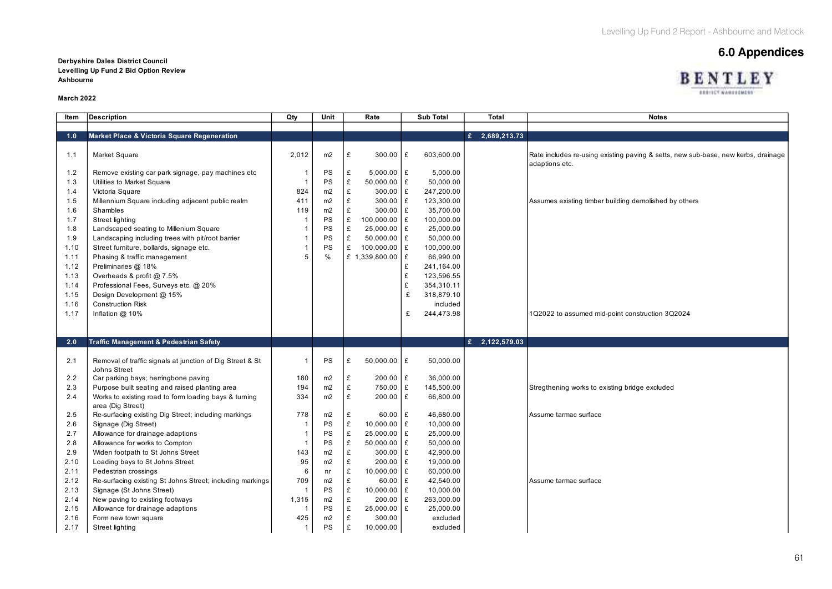**BENTLEY EXECUTIVATIONES** 

#### **Derbyshire Dales District Council and Security Connect of Connect Appendices Levelling Up Fund 2 Bid Option Review Ashbourne**

#### **March 2022**

| <b>Item</b> | <b>Description</b>                                                               | Qty            | Unit           | Rate               | <b>Sub Total</b> | Total                       | <b>Notes</b>                                                                                        |
|-------------|----------------------------------------------------------------------------------|----------------|----------------|--------------------|------------------|-----------------------------|-----------------------------------------------------------------------------------------------------|
|             |                                                                                  |                |                |                    |                  |                             |                                                                                                     |
| 1.0         | Market Place & Victoria Square Regeneration                                      |                |                |                    |                  | $\overline{E}$ 2,689,213.73 |                                                                                                     |
| 1.1         | Market Square                                                                    | 2,012          | m2             | £<br>300.00        | £<br>603,600.00  |                             | Rate includes re-using existing paving & setts, new sub-base, new kerbs, drainage<br>adaptions etc. |
| 1.2         | Remove existing car park signage, pay machines etc.                              |                | PS             | $5,000.00$ £<br>£  | 5,000.00         |                             |                                                                                                     |
| 1.3         | Utilities to Market Square                                                       |                | PS             | £<br>$50,000.00$ £ | 50,000.00        |                             |                                                                                                     |
| 1.4         | Victoria Square                                                                  | 824            | m2             | £<br>$300.00$ £    | 247,200.00       |                             |                                                                                                     |
| 1.5         | Millennium Square including adjacent public realm                                | 411            | m2             | £<br>$300.00$ £    | 123,300.00       |                             | Assumes existing timber building demolished by others                                               |
| 1.6         | Shambles                                                                         | 119            | m2             | £<br>300.00 £      | 35,700.00        |                             |                                                                                                     |
| 1.7         | Street lighting                                                                  |                | PS             | £<br>100,000.00 £  | 100,000.00       |                             |                                                                                                     |
| 1.8         | Landscaped seating to Millenium Square                                           |                | PS             | £<br>25,000.00 £   | 25,000.00        |                             |                                                                                                     |
| 1.9         | Landscaping including trees with pit/root barrier                                |                | PS             | £<br>$50,000.00$ £ | 50,000.00        |                             |                                                                                                     |
| 1.10        | Street furniture, bollards, signage etc.                                         |                | PS             | £<br>100,000.00 £  | 100,000.00       |                             |                                                                                                     |
| 1.11        | Phasing & traffic management                                                     | 5              | $\frac{0}{0}$  | £ 1,339,800.00 £   | 66,990.00        |                             |                                                                                                     |
| 1.12        | Preliminaries @ 18%                                                              |                |                |                    | £<br>241,164.00  |                             |                                                                                                     |
| 1.13        | Overheads & profit @ 7.5%                                                        |                |                |                    | £<br>123,596.55  |                             |                                                                                                     |
| 1.14        | Professional Fees, Surveys etc. @ 20%                                            |                |                |                    | £<br>354,310.11  |                             |                                                                                                     |
| 1.15        | Design Development @ 15%                                                         |                |                |                    | £<br>318.879.10  |                             |                                                                                                     |
| 1.16        | <b>Construction Risk</b>                                                         |                |                |                    | included         |                             |                                                                                                     |
| 1.17        | Inflation @ 10%                                                                  |                |                |                    | 244,473.98<br>£  |                             | 1Q2022 to assumed mid-point construction 3Q2024                                                     |
|             |                                                                                  |                |                |                    |                  |                             |                                                                                                     |
| 2.0         | <b>Traffic Management &amp; Pedestrian Safety</b>                                |                |                |                    |                  | £ 2,122,579.03              |                                                                                                     |
|             |                                                                                  |                |                |                    |                  |                             |                                                                                                     |
| 2.1         | Removal of traffic signals at junction of Dig Street & St<br><b>Johns Street</b> |                | PS             | £<br>50,000.00 £   | 50,000.00        |                             |                                                                                                     |
| 2.2         | Car parking bays; herringbone paving                                             | 180            | m2             | 200.00 £<br>£      | 36,000.00        |                             |                                                                                                     |
| 2.3         | Purpose built seating and raised planting area                                   | 194            | m2             | £<br>750.00 £      | 145,500.00       |                             | Stregthening works to existing bridge excluded                                                      |
| 2.4         | Works to existing road to form loading bays & turning<br>area (Dig Street)       | 334            | m2             | £<br>$200.00$ £    | 66,800.00        |                             |                                                                                                     |
| 2.5         | Re-surfacing existing Dig Street; including markings                             | 778            | m2             | $60.00$ £<br>£     | 46,680.00        |                             | Assume tarmac surface                                                                               |
| 2.6         | Signage (Dig Street)                                                             |                | PS             | £<br>$10,000.00$ £ | 10,000.00        |                             |                                                                                                     |
| 2.7         | Allowance for drainage adaptions                                                 |                | PS             | £<br>25,000.00 £   | 25,000.00        |                             |                                                                                                     |
| 2.8         | Allowance for works to Compton                                                   |                | PS             | £<br>$50,000.00$ £ | 50,000.00        |                             |                                                                                                     |
| 2.9         | Widen footpath to St Johns Street                                                | 143            | m <sub>2</sub> | £<br>$300.00$ £    | 42,900.00        |                             |                                                                                                     |
| 2.10        | Loading bays to St Johns Street                                                  | 95             | m2             | £<br>200.00 £      | 19,000.00        |                             |                                                                                                     |
| 2.11        | Pedestrian crossings                                                             | 6              | nr             | £<br>10,000.00 £   | 60,000.00        |                             |                                                                                                     |
| 2.12        | Re-surfacing existing St Johns Street; including markings                        | 709            | m2             | £<br>$60.00$ £     | 42,540.00        |                             | Assume tarmac surface                                                                               |
| 2.13        | Signage (St Johns Street)                                                        |                | <b>PS</b>      | £<br>10,000.00 £   | 10,000.00        |                             |                                                                                                     |
| 2.14        | New paving to existing footways                                                  | 1,315          | m2             | £<br>$200.00$ £    | 263,000.00       |                             |                                                                                                     |
| 2.15        | Allowance for drainage adaptions                                                 |                | PS             | £<br>25,000.00 £   | 25,000.00        |                             |                                                                                                     |
| 2.16        | Form new town square                                                             | 425            | m2             | £<br>300.00        | excluded         |                             |                                                                                                     |
| 2.17        | Street lighting                                                                  | $\overline{1}$ | PS             | £<br>10,000.00     | excluded         |                             |                                                                                                     |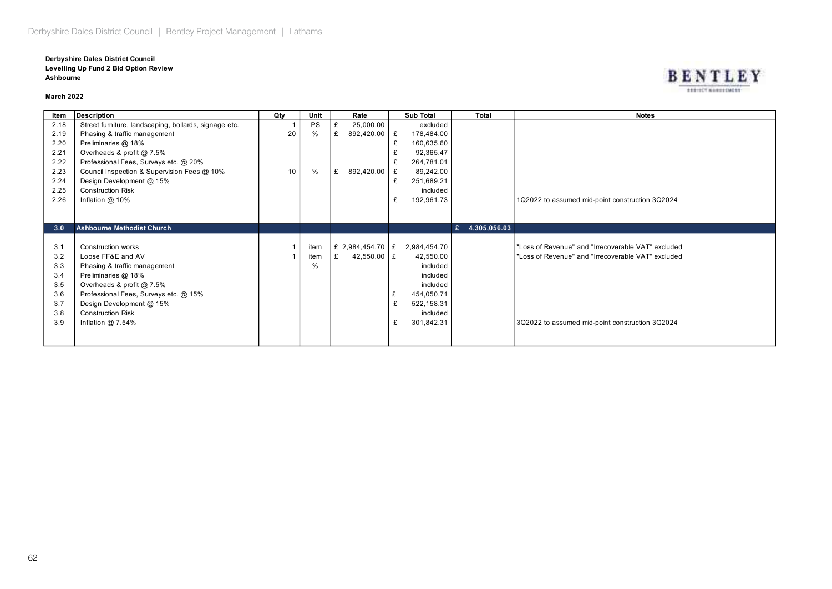#### **Derbyshire Dales District Council Levelling Up Fund 2 Bid Option Review Ashbourne**

#### **March 2022**

| ltem | <b>Description</b>                                    | Qtv | Unit      | Rate             | Sub Total       | Total          | Notes                                              |
|------|-------------------------------------------------------|-----|-----------|------------------|-----------------|----------------|----------------------------------------------------|
| 2.18 | Street furniture, landscaping, bollards, signage etc. |     | <b>PS</b> | 25,000.00        | excluded        |                |                                                    |
| 2.19 | Phasing & traffic management                          | 20  | $\%$      | 892,420.00   £   | 178,484.00      |                |                                                    |
| 2.20 | Preliminaries @ 18%                                   |     |           |                  | £<br>160,635.60 |                |                                                    |
| 2.21 | Overheads & profit @ 7.5%                             |     |           |                  | 92,365.47       |                |                                                    |
| 2.22 | Professional Fees, Surveys etc. @ 20%                 |     |           |                  | 264,781.01      |                |                                                    |
| 2.23 | Council Inspection & Supervision Fees @ 10%           | 10  | $\%$      | 892,420.00<br>£  | 89,242.00<br>£  |                |                                                    |
| 2.24 | Design Development @ 15%                              |     |           |                  | 251,689.21<br>£ |                |                                                    |
| 2.25 | <b>Construction Risk</b>                              |     |           |                  | included        |                |                                                    |
| 2.26 | Inflation $@$ 10%                                     |     |           |                  | £<br>192,961.73 |                | 1Q2022 to assumed mid-point construction 3Q2024    |
|      |                                                       |     |           |                  |                 |                |                                                    |
|      |                                                       |     |           |                  |                 |                |                                                    |
| 3.0  | <b>Ashbourne Methodist Church</b>                     |     |           |                  |                 | £ 4,305,056.03 |                                                    |
|      |                                                       |     |           |                  |                 |                |                                                    |
| 3.1  | Construction works                                    |     | item      | £ 2,984,454.70 £ | 2,984,454.70    |                | "Loss of Revenue" and "Irrecoverable VAT" excluded |
| 3.2  | Loose FF&E and AV                                     |     | item      | 42,550.00 £      | 42,550.00       |                | "Loss of Revenue" and "Irrecoverable VAT" excluded |
| 3.3  | Phasing & traffic management                          |     | $\%$      |                  | included        |                |                                                    |
| 3.4  | Preliminaries @ 18%                                   |     |           |                  | included        |                |                                                    |
| 3.5  | Overheads & profit @ 7.5%                             |     |           |                  | included        |                |                                                    |
| 3.6  | Professional Fees, Surveys etc. @ 15%                 |     |           |                  | £<br>454,050.71 |                |                                                    |
| 3.7  | Design Development @ 15%                              |     |           |                  | £<br>522,158.31 |                |                                                    |
| 3.8  | <b>Construction Risk</b>                              |     |           |                  | included        |                |                                                    |
| 3.9  | Inflation $@7.54\%$                                   |     |           |                  | 301,842.31<br>£ |                | 3Q2022 to assumed mid-point construction 3Q2024    |
|      |                                                       |     |           |                  |                 |                |                                                    |
|      |                                                       |     |           |                  |                 |                |                                                    |

#### **BENTLEY EXECUTIVES TORREST**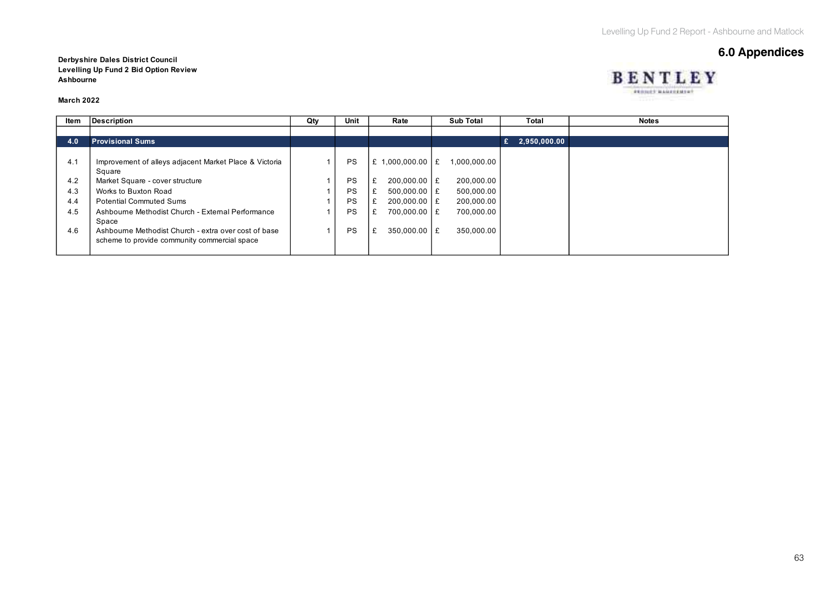BENTLEY PERMIT MANAGEMENT

# **6.0 Appendices**

**Derbyshire Dales District Council Levelling Up Fund 2 Bid Option Review Ashbourne**

#### **March 2022**

| ltem | <b>Description</b>                                     | Qty | Unit      | Rate                   | Sub Total    | Total             | <b>Notes</b> |
|------|--------------------------------------------------------|-----|-----------|------------------------|--------------|-------------------|--------------|
|      |                                                        |     |           |                        |              |                   |              |
| 4.0  | <b>Provisional Sums</b>                                |     |           |                        |              | 2,950,000.00<br>£ |              |
|      |                                                        |     |           |                        |              |                   |              |
| 4.1  | Improvement of alleys adjacent Market Place & Victoria |     | <b>PS</b> | $.000.000.00$   £<br>£ | 1.000.000.00 |                   |              |
|      | Square                                                 |     |           |                        |              |                   |              |
| 4.2  | Market Square - cover structure                        |     | PS        | £<br>$200.000.00$ E    | 200,000.00   |                   |              |
| 4.3  | Works to Buxton Road                                   |     | PS        | $500.000.00$ E         | 500,000.00   |                   |              |
| 4.4  | <b>Potential Commuted Sums</b>                         |     | PS        | £<br>$200.000.00$ E    | 200,000.00   |                   |              |
| 4.5  | Ashbourne Methodist Church - External Performance      |     | PS        | 700,000.00 £<br>£      | 700,000.00   |                   |              |
|      | Space                                                  |     |           |                        |              |                   |              |
| 4.6  | Ashbourne Methodist Church - extra over cost of base   |     | PS        | £<br>350.000.00 E      | 350,000.00   |                   |              |
|      | scheme to provide community commercial space           |     |           |                        |              |                   |              |
|      |                                                        |     |           |                        |              |                   |              |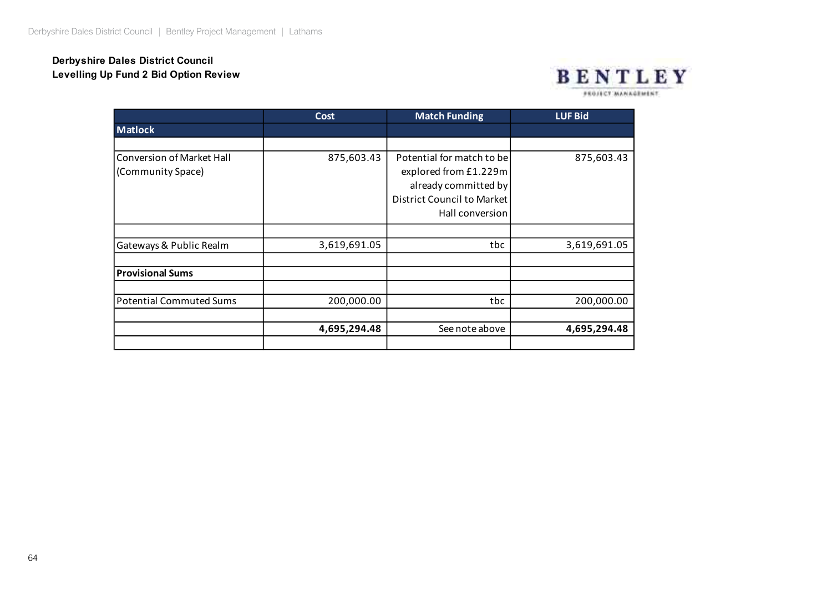### **Derbyshire Dales District Council Levelling Up Fund 2 Bid Option Review**

![](_page_14_Picture_2.jpeg)

FROJECT MANAGEMENT

|                                | <b>Cost</b>  | <b>Match Funding</b>       | <b>LUF Bid</b> |  |  |
|--------------------------------|--------------|----------------------------|----------------|--|--|
| <b>Matlock</b>                 |              |                            |                |  |  |
|                                |              |                            |                |  |  |
| Conversion of Market Hall      | 875,603.43   | Potential for match to be  | 875,603.43     |  |  |
| (Community Space)              |              | explored from £1.229m      |                |  |  |
|                                |              | already committed by       |                |  |  |
|                                |              | District Council to Market |                |  |  |
|                                |              | Hall conversion            |                |  |  |
|                                |              |                            |                |  |  |
| Gateways & Public Realm        | 3,619,691.05 | tbc                        | 3,619,691.05   |  |  |
|                                |              |                            |                |  |  |
| <b>Provisional Sums</b>        |              |                            |                |  |  |
|                                |              |                            |                |  |  |
| <b>Potential Commuted Sums</b> | 200,000.00   | tbc                        | 200,000.00     |  |  |
|                                | 4,695,294.48 | See note above             | 4,695,294.48   |  |  |
|                                |              |                            |                |  |  |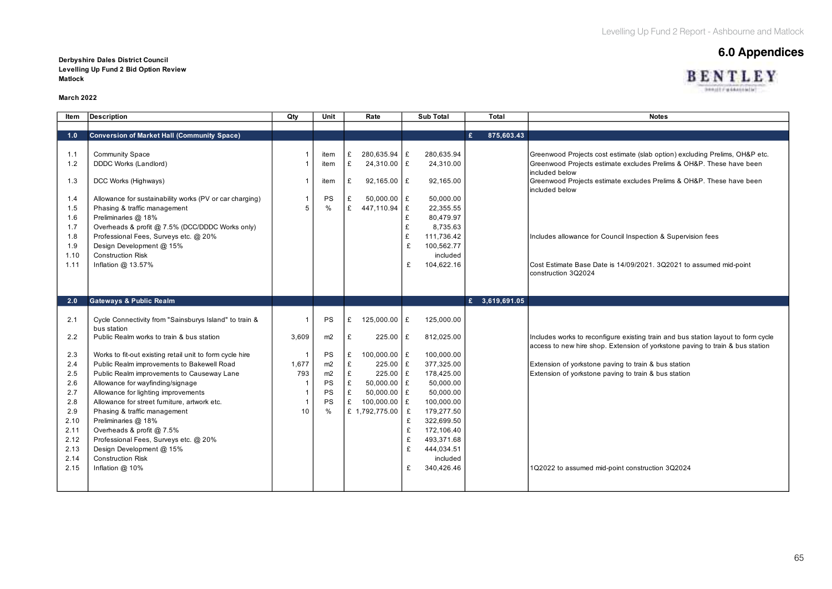BENTLEY **SHAULT WAAALING** 

# **6.0 Appendices Derbyshire Dales District Council**

**Levelling Up Fund 2 Bid Option Review Matlock**

#### **March 2022**

| ltem                                                    | <b>Description</b>                                                                                                                                                                                                                                                                                 | Qty       | Unit                                  | Rate                                                                                             | <b>Sub Total</b>                                                                                                               | Total           | <b>Notes</b>                                                                                                                                                                                                                                                    |
|---------------------------------------------------------|----------------------------------------------------------------------------------------------------------------------------------------------------------------------------------------------------------------------------------------------------------------------------------------------------|-----------|---------------------------------------|--------------------------------------------------------------------------------------------------|--------------------------------------------------------------------------------------------------------------------------------|-----------------|-----------------------------------------------------------------------------------------------------------------------------------------------------------------------------------------------------------------------------------------------------------------|
|                                                         |                                                                                                                                                                                                                                                                                                    |           |                                       |                                                                                                  |                                                                                                                                |                 |                                                                                                                                                                                                                                                                 |
| 1.0                                                     | <b>Conversion of Market Hall (Community Space)</b>                                                                                                                                                                                                                                                 |           |                                       |                                                                                                  |                                                                                                                                | £<br>875,603.43 |                                                                                                                                                                                                                                                                 |
| 1.1<br>1.2<br>1.3                                       | <b>Community Space</b><br>DDDC Works (Landlord)<br>DCC Works (Highways)                                                                                                                                                                                                                            |           | item<br>item<br>item                  | 280,635.94 £<br>£<br>£<br>24,310.00 £<br>$92,165.00$ £<br>£                                      | 280,635.94<br>24,310.00<br>92,165.00                                                                                           |                 | Greenwood Projects cost estimate (slab option) excluding Prelims, OH&P etc.<br>Greenwood Projects estimate excludes Prelims & OH&P. These have been<br>included below<br>Greenwood Projects estimate excludes Prelims & OH&P. These have been<br>included below |
| 1.4<br>1.5<br>1.6<br>1.7                                | Allowance for sustainability works (PV or car charging)<br>Phasing & traffic management<br>Preliminaries @ 18%<br>Overheads & profit @ 7.5% (DCC/DDDC Works only)                                                                                                                                  |           | PS<br>$\frac{0}{0}$                   | $50,000.00$ £<br>£<br>£<br>447,110.94 £                                                          | 50,000.00<br>22,355.55<br>80,479.97<br>£<br>£<br>8,735.63                                                                      |                 |                                                                                                                                                                                                                                                                 |
| 1.8<br>1.9<br>1.10<br>1.11                              | Professional Fees, Surveys etc. @ 20%<br>Design Development @ 15%<br><b>Construction Risk</b><br>Inflation @ 13.57%                                                                                                                                                                                |           |                                       |                                                                                                  | £<br>111,736.42<br>100,562.77<br>£<br>included<br>104,622.16<br>£                                                              |                 | Includes allowance for Council Inspection & Supervision fees<br>Cost Estimate Base Date is 14/09/2021. 3Q2021 to assumed mid-point                                                                                                                              |
|                                                         |                                                                                                                                                                                                                                                                                                    |           |                                       |                                                                                                  |                                                                                                                                |                 | construction 3Q2024                                                                                                                                                                                                                                             |
| 2.0                                                     | <b>Gateways &amp; Public Realm</b>                                                                                                                                                                                                                                                                 |           |                                       |                                                                                                  |                                                                                                                                | £ 3,619,691.05  |                                                                                                                                                                                                                                                                 |
| 2.1<br>2.2                                              | Cycle Connectivity from "Sainsburys Island" to train &<br>bus station<br>Public Realm works to train & bus station                                                                                                                                                                                 | 3,609     | PS<br>m <sub>2</sub>                  | 125,000.00 £<br>£<br>£<br>$225.00$ £                                                             | 125,000.00<br>812,025.00                                                                                                       |                 | Includes works to reconfigure existing train and bus station layout to form cycle                                                                                                                                                                               |
| 2.3<br>2.4                                              | Works to fit-out existing retail unit to form cycle hire<br>Public Realm improvements to Bakewell Road                                                                                                                                                                                             | 1,677     | PS<br>m2                              | 100,000.00 £<br>£<br>£<br>$225.00$ £                                                             | 100,000.00<br>377,325.00                                                                                                       |                 | access to new hire shop. Extension of yorkstone paving to train & bus station<br>Extension of yorkstone paving to train & bus station                                                                                                                           |
| 2.5<br>2.6<br>2.7<br>2.8<br>2.9<br>2.10<br>2.11<br>2.12 | Public Realm improvements to Causeway Lane<br>Allowance for wayfinding/signage<br>Allowance for lighting improvements<br>Allowance for street furniture, artwork etc.<br>Phasing & traffic management<br>Preliminaries @ 18%<br>Overheads & profit @ 7.5%<br>Professional Fees, Surveys etc. @ 20% | 793<br>10 | m2<br>PS<br>PS<br>PS<br>$\frac{0}{0}$ | £<br>225.00 £<br>£<br>$50,000.00$ £<br>£<br>$50,000.00$ £<br>£<br>100,000.00 £<br>£ 1,792,775.00 | 178,425.00<br>50,000.00<br>50,000.00<br>100,000.00<br>179,277.50<br>£<br>£<br>322,699.50<br>£<br>172,106.40<br>493,371.68<br>£ |                 | Extension of yorkstone paving to train & bus station                                                                                                                                                                                                            |
| 2.13<br>2.14<br>2.15                                    | Design Development @ 15%<br><b>Construction Risk</b><br>Inflation @ 10%                                                                                                                                                                                                                            |           |                                       |                                                                                                  | £<br>444,034.51<br>included<br>£<br>340,426.46                                                                                 |                 | 1Q2022 to assumed mid-point construction 3Q2024                                                                                                                                                                                                                 |